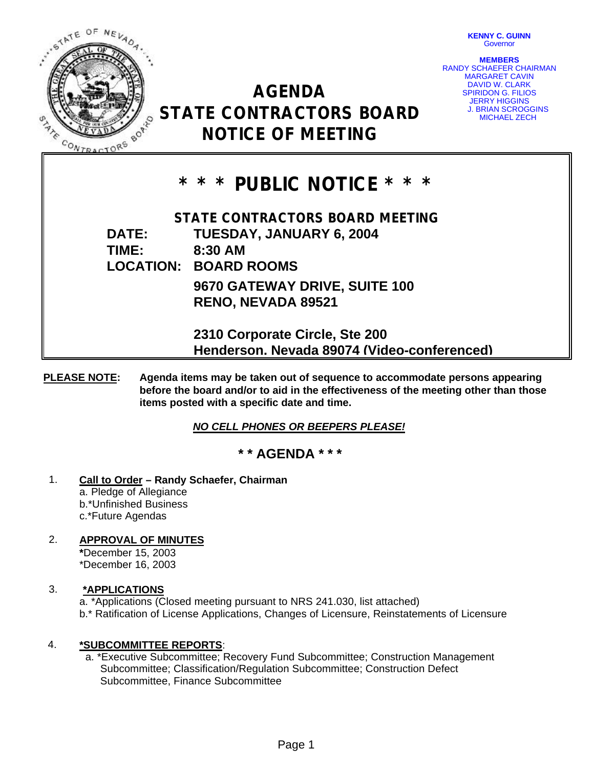

**KENNY C. GUINN Governor** 

**MEMBERS** RANDY SCHAEFER CHAIRMAN MARGARET CAVIN DAVID W. CLARK SPIRIDON G. FILIOS JERRY HIGGINS J. BRIAN SCROGGINS MICHAEL ZECH

# **AGENDA STATE CONTRACTORS BOARD NOTICE OF MEETING**

# **\* \* \* PUBLIC NOTICE \* \* \***

**STATE CONTRACTORS BOARD MEETING DATE: TUESDAY, JANUARY 6, 2004 TIME: 8:30 AM LOCATION: BOARD ROOMS 9670 GATEWAY DRIVE, SUITE 100 RENO, NEVADA 89521**

> **2310 Corporate Circle, Ste 200 Henderson, Nevada 89074 (Video-conferenced)**

**PLEASE NOTE: Agenda items may be taken out of sequence to accommodate persons appearing before the board and/or to aid in the effectiveness of the meeting other than those items posted with a specific date and time.**

*NO CELL PHONES OR BEEPERS PLEASE!* 

# **\* \* AGENDA \* \* \***

1. **Call to Order – Randy Schaefer, Chairman** a. Pledge of Allegiance b.\*Unfinished Business c.\*Future Agendas

# 2. **APPROVAL OF MINUTES**

**\***December 15, 2003 \*December 16, 2003

## 3. **\*APPLICATIONS**

a. \*Applications (Closed meeting pursuant to NRS 241.030, list attached) b.\* Ratification of License Applications, Changes of Licensure, Reinstatements of Licensure

## 4. **\*SUBCOMMITTEE REPORTS**:

 a. \*Executive Subcommittee; Recovery Fund Subcommittee; Construction Management Subcommittee; Classification/Regulation Subcommittee; Construction Defect Subcommittee, Finance Subcommittee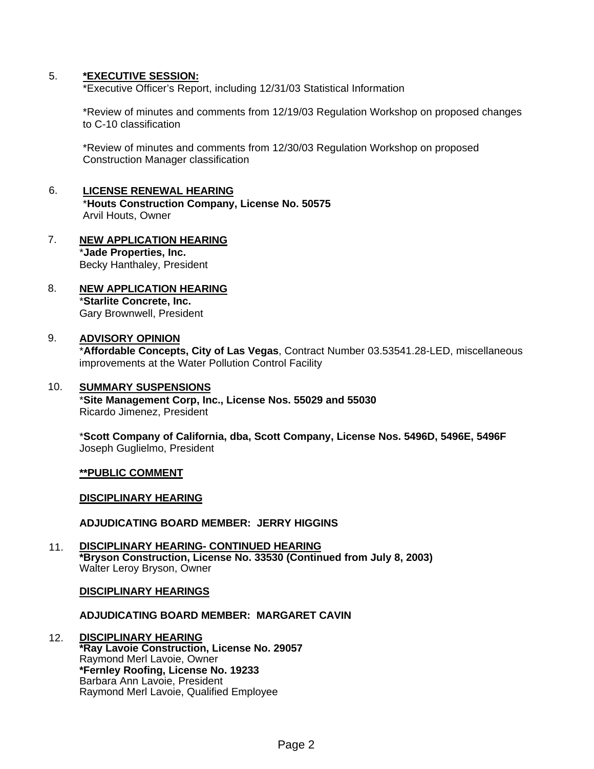#### 5. **\*EXECUTIVE SESSION:**

\*Executive Officer's Report, including 12/31/03 Statistical Information

\*Review of minutes and comments from 12/19/03 Regulation Workshop on proposed changes to C-10 classification

\*Review of minutes and comments from 12/30/03 Regulation Workshop on proposed Construction Manager classification

#### 6. **LICENSE RENEWAL HEARING** \***Houts Construction Company, License No. 50575** Arvil Houts, Owner

#### 7. **NEW APPLICATION HEARING** \***Jade Properties, Inc.** Becky Hanthaley, President

8. **NEW APPLICATION HEARING** \***Starlite Concrete, Inc.** Gary Brownwell, President

### 9. **ADVISORY OPINION**

\***Affordable Concepts, City of Las Vegas**, Contract Number 03.53541.28-LED, miscellaneous improvements at the Water Pollution Control Facility

#### 10. **SUMMARY SUSPENSIONS**

\***Site Management Corp, Inc., License Nos. 55029 and 55030** Ricardo Jimenez, President

\***Scott Company of California, dba, Scott Company, License Nos. 5496D, 5496E, 5496F** Joseph Guglielmo, President

#### **\*\*PUBLIC COMMENT**

#### **DISCIPLINARY HEARING**

#### **ADJUDICATING BOARD MEMBER: JERRY HIGGINS**

11. **DISCIPLINARY HEARING- CONTINUED HEARING \*Bryson Construction, License No. 33530 (Continued from July 8, 2003)** Walter Leroy Bryson, Owner

#### **DISCIPLINARY HEARINGS**

#### **ADJUDICATING BOARD MEMBER: MARGARET CAVIN**

12. **DISCIPLINARY HEARING \*Ray Lavoie Construction, License No. 29057** Raymond Merl Lavoie, Owner **\*Fernley Roofing, License No. 19233** Barbara Ann Lavoie, President Raymond Merl Lavoie, Qualified Employee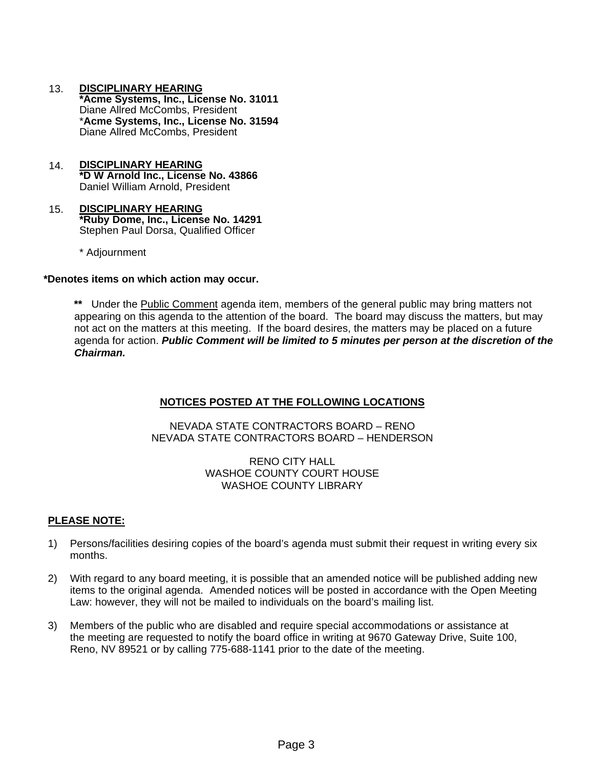- 13. **DISCIPLINARY HEARING \*Acme Systems, Inc., License No. 31011** Diane Allred McCombs, President \***Acme Systems, Inc., License No. 31594** Diane Allred McCombs, President
- 14. **DISCIPLINARY HEARING \*D W Arnold Inc., License No. 43866** Daniel William Arnold, President
- 15. **DISCIPLINARY HEARING \*Ruby Dome, Inc., License No. 14291** Stephen Paul Dorsa, Qualified Officer
	- \* Adjournment

#### **\*Denotes items on which action may occur.**

**\*\*** Under the Public Comment agenda item, members of the general public may bring matters not appearing on this agenda to the attention of the board. The board may discuss the matters, but may not act on the matters at this meeting. If the board desires, the matters may be placed on a future agenda for action. *Public Comment will be limited to 5 minutes per person at the discretion of the Chairman.*

#### **NOTICES POSTED AT THE FOLLOWING LOCATIONS**

NEVADA STATE CONTRACTORS BOARD – RENO NEVADA STATE CONTRACTORS BOARD – HENDERSON

> RENO CITY HALL WASHOE COUNTY COURT HOUSE WASHOE COUNTY LIBRARY

#### **PLEASE NOTE:**

- 1) Persons/facilities desiring copies of the board's agenda must submit their request in writing every six months.
- 2) With regard to any board meeting, it is possible that an amended notice will be published adding new items to the original agenda. Amended notices will be posted in accordance with the Open Meeting Law: however, they will not be mailed to individuals on the board's mailing list.
- 3) Members of the public who are disabled and require special accommodations or assistance at the meeting are requested to notify the board office in writing at 9670 Gateway Drive, Suite 100, Reno, NV 89521 or by calling 775-688-1141 prior to the date of the meeting.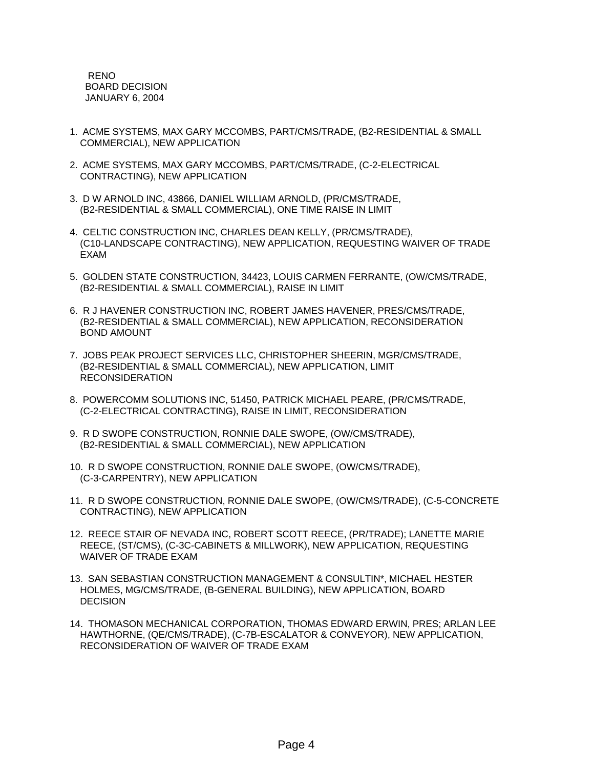RENO BOARD DECISION JANUARY 6, 2004

- 1. ACME SYSTEMS, MAX GARY MCCOMBS, PART/CMS/TRADE, (B2-RESIDENTIAL & SMALL COMMERCIAL), NEW APPLICATION
- 2. ACME SYSTEMS, MAX GARY MCCOMBS, PART/CMS/TRADE, (C-2-ELECTRICAL CONTRACTING), NEW APPLICATION
- 3. D W ARNOLD INC, 43866, DANIEL WILLIAM ARNOLD, (PR/CMS/TRADE, (B2-RESIDENTIAL & SMALL COMMERCIAL), ONE TIME RAISE IN LIMIT
- 4. CELTIC CONSTRUCTION INC, CHARLES DEAN KELLY, (PR/CMS/TRADE), (C10-LANDSCAPE CONTRACTING), NEW APPLICATION, REQUESTING WAIVER OF TRADE EXAM
- 5. GOLDEN STATE CONSTRUCTION, 34423, LOUIS CARMEN FERRANTE, (OW/CMS/TRADE, (B2-RESIDENTIAL & SMALL COMMERCIAL), RAISE IN LIMIT
- 6. R J HAVENER CONSTRUCTION INC, ROBERT JAMES HAVENER, PRES/CMS/TRADE, (B2-RESIDENTIAL & SMALL COMMERCIAL), NEW APPLICATION, RECONSIDERATION BOND AMOUNT
- 7. JOBS PEAK PROJECT SERVICES LLC, CHRISTOPHER SHEERIN, MGR/CMS/TRADE, (B2-RESIDENTIAL & SMALL COMMERCIAL), NEW APPLICATION, LIMIT RECONSIDERATION
- 8. POWERCOMM SOLUTIONS INC, 51450, PATRICK MICHAEL PEARE, (PR/CMS/TRADE, (C-2-ELECTRICAL CONTRACTING), RAISE IN LIMIT, RECONSIDERATION
- 9. R D SWOPE CONSTRUCTION, RONNIE DALE SWOPE, (OW/CMS/TRADE), (B2-RESIDENTIAL & SMALL COMMERCIAL), NEW APPLICATION
- 10. R D SWOPE CONSTRUCTION, RONNIE DALE SWOPE, (OW/CMS/TRADE), (C-3-CARPENTRY), NEW APPLICATION
- 11. R D SWOPE CONSTRUCTION, RONNIE DALE SWOPE, (OW/CMS/TRADE), (C-5-CONCRETE CONTRACTING), NEW APPLICATION
- 12. REECE STAIR OF NEVADA INC, ROBERT SCOTT REECE, (PR/TRADE); LANETTE MARIE REECE, (ST/CMS), (C-3C-CABINETS & MILLWORK), NEW APPLICATION, REQUESTING WAIVER OF TRADE EXAM
- 13. SAN SEBASTIAN CONSTRUCTION MANAGEMENT & CONSULTIN\*, MICHAEL HESTER HOLMES, MG/CMS/TRADE, (B-GENERAL BUILDING), NEW APPLICATION, BOARD **DECISION**
- 14. THOMASON MECHANICAL CORPORATION, THOMAS EDWARD ERWIN, PRES; ARLAN LEE HAWTHORNE, (QE/CMS/TRADE), (C-7B-ESCALATOR & CONVEYOR), NEW APPLICATION, RECONSIDERATION OF WAIVER OF TRADE EXAM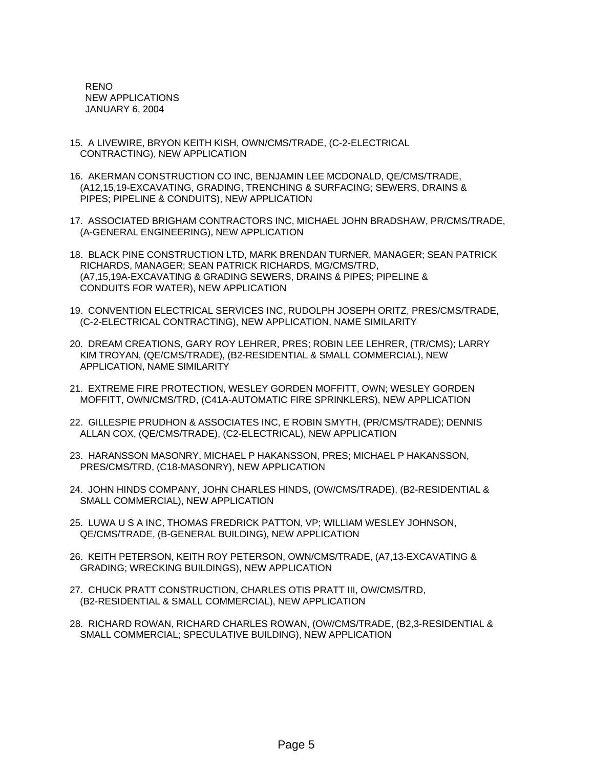RENO NEW APPLICATIONS JANUARY 6, 2004

- 15. A LIVEWIRE, BRYON KEITH KISH, OWN/CMS/TRADE, (C-2-ELECTRICAL CONTRACTING), NEW APPLICATION
- 16. AKERMAN CONSTRUCTION CO INC, BENJAMIN LEE MCDONALD, QE/CMS/TRADE, (A12,15,19-EXCAVATING, GRADING, TRENCHING & SURFACING; SEWERS, DRAINS & PIPES; PIPELINE & CONDUITS), NEW APPLICATION
- 17. ASSOCIATED BRIGHAM CONTRACTORS INC, MICHAEL JOHN BRADSHAW, PR/CMS/TRADE, (A-GENERAL ENGINEERING), NEW APPLICATION
- 18. BLACK PINE CONSTRUCTION LTD, MARK BRENDAN TURNER, MANAGER; SEAN PATRICK RICHARDS, MANAGER; SEAN PATRICK RICHARDS, MG/CMS/TRD, (A7,15,19A-EXCAVATING & GRADING SEWERS, DRAINS & PIPES; PIPELINE & CONDUITS FOR WATER), NEW APPLICATION
- 19. CONVENTION ELECTRICAL SERVICES INC, RUDOLPH JOSEPH ORITZ, PRES/CMS/TRADE, (C-2-ELECTRICAL CONTRACTING), NEW APPLICATION, NAME SIMILARITY
- 20. DREAM CREATIONS, GARY ROY LEHRER, PRES; ROBIN LEE LEHRER, (TR/CMS); LARRY KIM TROYAN, (QE/CMS/TRADE), (B2-RESIDENTIAL & SMALL COMMERCIAL), NEW APPLICATION, NAME SIMILARITY
- 21. EXTREME FIRE PROTECTION, WESLEY GORDEN MOFFITT, OWN; WESLEY GORDEN MOFFITT, OWN/CMS/TRD, (C41A-AUTOMATIC FIRE SPRINKLERS), NEW APPLICATION
- 22. GILLESPIE PRUDHON & ASSOCIATES INC, E ROBIN SMYTH, (PR/CMS/TRADE); DENNIS ALLAN COX, (QE/CMS/TRADE), (C2-ELECTRICAL), NEW APPLICATION
- 23. HARANSSON MASONRY, MICHAEL P HAKANSSON, PRES; MICHAEL P HAKANSSON, PRES/CMS/TRD, (C18-MASONRY), NEW APPLICATION
- 24. JOHN HINDS COMPANY, JOHN CHARLES HINDS, (OW/CMS/TRADE), (B2-RESIDENTIAL & SMALL COMMERCIAL), NEW APPLICATION
- 25. LUWA U S A INC, THOMAS FREDRICK PATTON, VP; WILLIAM WESLEY JOHNSON, QE/CMS/TRADE, (B-GENERAL BUILDING), NEW APPLICATION
- 26. KEITH PETERSON, KEITH ROY PETERSON, OWN/CMS/TRADE, (A7,13-EXCAVATING & GRADING; WRECKING BUILDINGS), NEW APPLICATION
- 27. CHUCK PRATT CONSTRUCTION, CHARLES OTIS PRATT III, OW/CMS/TRD, (B2-RESIDENTIAL & SMALL COMMERCIAL), NEW APPLICATION
- 28. RICHARD ROWAN, RICHARD CHARLES ROWAN, (OW/CMS/TRADE, (B2,3-RESIDENTIAL & SMALL COMMERCIAL; SPECULATIVE BUILDING), NEW APPLICATION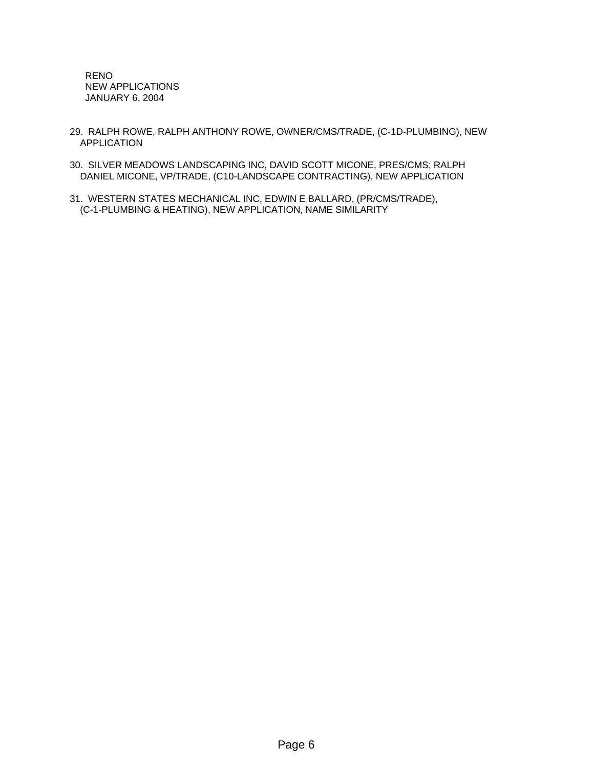RENO NEW APPLICATIONS JANUARY 6, 2004

- 29. RALPH ROWE, RALPH ANTHONY ROWE, OWNER/CMS/TRADE, (C-1D-PLUMBING), NEW APPLICATION
- 30. SILVER MEADOWS LANDSCAPING INC, DAVID SCOTT MICONE, PRES/CMS; RALPH DANIEL MICONE, VP/TRADE, (C10-LANDSCAPE CONTRACTING), NEW APPLICATION
- 31. WESTERN STATES MECHANICAL INC, EDWIN E BALLARD, (PR/CMS/TRADE), (C-1-PLUMBING & HEATING), NEW APPLICATION, NAME SIMILARITY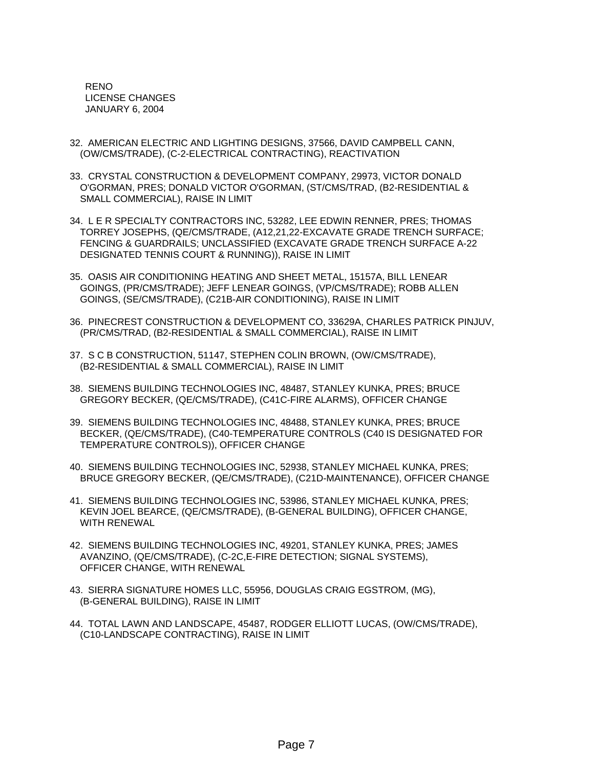RENO LICENSE CHANGES JANUARY 6, 2004

- 32. AMERICAN ELECTRIC AND LIGHTING DESIGNS, 37566, DAVID CAMPBELL CANN, (OW/CMS/TRADE), (C-2-ELECTRICAL CONTRACTING), REACTIVATION
- 33. CRYSTAL CONSTRUCTION & DEVELOPMENT COMPANY, 29973, VICTOR DONALD O'GORMAN, PRES; DONALD VICTOR O'GORMAN, (ST/CMS/TRAD, (B2-RESIDENTIAL & SMALL COMMERCIAL), RAISE IN LIMIT
- 34. L E R SPECIALTY CONTRACTORS INC, 53282, LEE EDWIN RENNER, PRES; THOMAS TORREY JOSEPHS, (QE/CMS/TRADE, (A12,21,22-EXCAVATE GRADE TRENCH SURFACE; FENCING & GUARDRAILS; UNCLASSIFIED (EXCAVATE GRADE TRENCH SURFACE A-22 DESIGNATED TENNIS COURT & RUNNING)), RAISE IN LIMIT
- 35. OASIS AIR CONDITIONING HEATING AND SHEET METAL, 15157A, BILL LENEAR GOINGS, (PR/CMS/TRADE); JEFF LENEAR GOINGS, (VP/CMS/TRADE); ROBB ALLEN GOINGS, (SE/CMS/TRADE), (C21B-AIR CONDITIONING), RAISE IN LIMIT
- 36. PINECREST CONSTRUCTION & DEVELOPMENT CO, 33629A, CHARLES PATRICK PINJUV, (PR/CMS/TRAD, (B2-RESIDENTIAL & SMALL COMMERCIAL), RAISE IN LIMIT
- 37. S C B CONSTRUCTION, 51147, STEPHEN COLIN BROWN, (OW/CMS/TRADE), (B2-RESIDENTIAL & SMALL COMMERCIAL), RAISE IN LIMIT
- 38. SIEMENS BUILDING TECHNOLOGIES INC, 48487, STANLEY KUNKA, PRES; BRUCE GREGORY BECKER, (QE/CMS/TRADE), (C41C-FIRE ALARMS), OFFICER CHANGE
- 39. SIEMENS BUILDING TECHNOLOGIES INC, 48488, STANLEY KUNKA, PRES; BRUCE BECKER, (QE/CMS/TRADE), (C40-TEMPERATURE CONTROLS (C40 IS DESIGNATED FOR TEMPERATURE CONTROLS)), OFFICER CHANGE
- 40. SIEMENS BUILDING TECHNOLOGIES INC, 52938, STANLEY MICHAEL KUNKA, PRES; BRUCE GREGORY BECKER, (QE/CMS/TRADE), (C21D-MAINTENANCE), OFFICER CHANGE
- 41. SIEMENS BUILDING TECHNOLOGIES INC, 53986, STANLEY MICHAEL KUNKA, PRES; KEVIN JOEL BEARCE, (QE/CMS/TRADE), (B-GENERAL BUILDING), OFFICER CHANGE, WITH RENEWAL
- 42. SIEMENS BUILDING TECHNOLOGIES INC, 49201, STANLEY KUNKA, PRES; JAMES AVANZINO, (QE/CMS/TRADE), (C-2C,E-FIRE DETECTION; SIGNAL SYSTEMS), OFFICER CHANGE, WITH RENEWAL
- 43. SIERRA SIGNATURE HOMES LLC, 55956, DOUGLAS CRAIG EGSTROM, (MG), (B-GENERAL BUILDING), RAISE IN LIMIT
- 44. TOTAL LAWN AND LANDSCAPE, 45487, RODGER ELLIOTT LUCAS, (OW/CMS/TRADE), (C10-LANDSCAPE CONTRACTING), RAISE IN LIMIT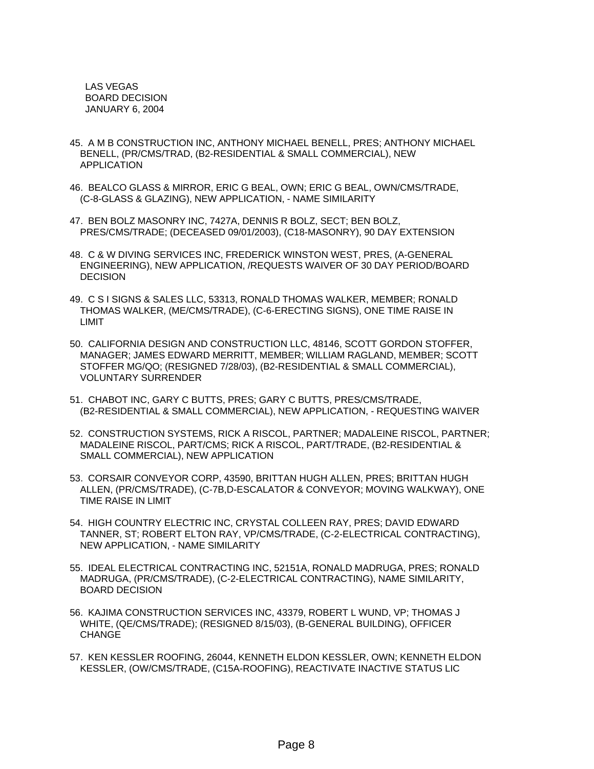LAS VEGAS BOARD DECISION JANUARY 6, 2004

- 45. A M B CONSTRUCTION INC, ANTHONY MICHAEL BENELL, PRES; ANTHONY MICHAEL BENELL, (PR/CMS/TRAD, (B2-RESIDENTIAL & SMALL COMMERCIAL), NEW APPLICATION
- 46. BEALCO GLASS & MIRROR, ERIC G BEAL, OWN; ERIC G BEAL, OWN/CMS/TRADE, (C-8-GLASS & GLAZING), NEW APPLICATION, - NAME SIMILARITY
- 47. BEN BOLZ MASONRY INC, 7427A, DENNIS R BOLZ, SECT; BEN BOLZ, PRES/CMS/TRADE; (DECEASED 09/01/2003), (C18-MASONRY), 90 DAY EXTENSION
- 48. C & W DIVING SERVICES INC, FREDERICK WINSTON WEST, PRES, (A-GENERAL ENGINEERING), NEW APPLICATION, /REQUESTS WAIVER OF 30 DAY PERIOD/BOARD DECISION
- 49. C S I SIGNS & SALES LLC, 53313, RONALD THOMAS WALKER, MEMBER; RONALD THOMAS WALKER, (ME/CMS/TRADE), (C-6-ERECTING SIGNS), ONE TIME RAISE IN LIMIT
- 50. CALIFORNIA DESIGN AND CONSTRUCTION LLC, 48146, SCOTT GORDON STOFFER, MANAGER; JAMES EDWARD MERRITT, MEMBER; WILLIAM RAGLAND, MEMBER; SCOTT STOFFER MG/QO; (RESIGNED 7/28/03), (B2-RESIDENTIAL & SMALL COMMERCIAL), VOLUNTARY SURRENDER
- 51. CHABOT INC, GARY C BUTTS, PRES; GARY C BUTTS, PRES/CMS/TRADE, (B2-RESIDENTIAL & SMALL COMMERCIAL), NEW APPLICATION, - REQUESTING WAIVER
- 52. CONSTRUCTION SYSTEMS, RICK A RISCOL, PARTNER; MADALEINE RISCOL, PARTNER; MADALEINE RISCOL, PART/CMS; RICK A RISCOL, PART/TRADE, (B2-RESIDENTIAL & SMALL COMMERCIAL), NEW APPLICATION
- 53. CORSAIR CONVEYOR CORP, 43590, BRITTAN HUGH ALLEN, PRES; BRITTAN HUGH ALLEN, (PR/CMS/TRADE), (C-7B,D-ESCALATOR & CONVEYOR; MOVING WALKWAY), ONE TIME RAISE IN LIMIT
- 54. HIGH COUNTRY ELECTRIC INC, CRYSTAL COLLEEN RAY, PRES; DAVID EDWARD TANNER, ST; ROBERT ELTON RAY, VP/CMS/TRADE, (C-2-ELECTRICAL CONTRACTING), NEW APPLICATION, - NAME SIMILARITY
- 55. IDEAL ELECTRICAL CONTRACTING INC, 52151A, RONALD MADRUGA, PRES; RONALD MADRUGA, (PR/CMS/TRADE), (C-2-ELECTRICAL CONTRACTING), NAME SIMILARITY, BOARD DECISION
- 56. KAJIMA CONSTRUCTION SERVICES INC, 43379, ROBERT L WUND, VP; THOMAS J WHITE, (QE/CMS/TRADE); (RESIGNED 8/15/03), (B-GENERAL BUILDING), OFFICER CHANGE
- 57. KEN KESSLER ROOFING, 26044, KENNETH ELDON KESSLER, OWN; KENNETH ELDON KESSLER, (OW/CMS/TRADE, (C15A-ROOFING), REACTIVATE INACTIVE STATUS LIC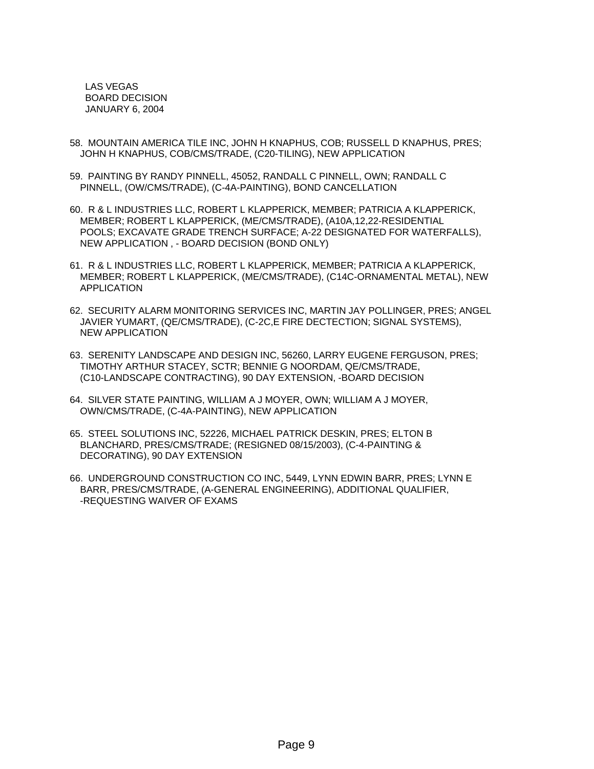LAS VEGAS BOARD DECISION JANUARY 6, 2004

- 58. MOUNTAIN AMERICA TILE INC, JOHN H KNAPHUS, COB; RUSSELL D KNAPHUS, PRES; JOHN H KNAPHUS, COB/CMS/TRADE, (C20-TILING), NEW APPLICATION
- 59. PAINTING BY RANDY PINNELL, 45052, RANDALL C PINNELL, OWN; RANDALL C PINNELL, (OW/CMS/TRADE), (C-4A-PAINTING), BOND CANCELLATION
- 60. R & L INDUSTRIES LLC, ROBERT L KLAPPERICK, MEMBER; PATRICIA A KLAPPERICK, MEMBER; ROBERT L KLAPPERICK, (ME/CMS/TRADE), (A10A,12,22-RESIDENTIAL POOLS; EXCAVATE GRADE TRENCH SURFACE; A-22 DESIGNATED FOR WATERFALLS), NEW APPLICATION , - BOARD DECISION (BOND ONLY)
- 61. R & L INDUSTRIES LLC, ROBERT L KLAPPERICK, MEMBER; PATRICIA A KLAPPERICK, MEMBER; ROBERT L KLAPPERICK, (ME/CMS/TRADE), (C14C-ORNAMENTAL METAL), NEW APPLICATION
- 62. SECURITY ALARM MONITORING SERVICES INC, MARTIN JAY POLLINGER, PRES; ANGEL JAVIER YUMART, (QE/CMS/TRADE), (C-2C,E FIRE DECTECTION; SIGNAL SYSTEMS), NEW APPLICATION
- 63. SERENITY LANDSCAPE AND DESIGN INC, 56260, LARRY EUGENE FERGUSON, PRES; TIMOTHY ARTHUR STACEY, SCTR; BENNIE G NOORDAM, QE/CMS/TRADE, (C10-LANDSCAPE CONTRACTING), 90 DAY EXTENSION, -BOARD DECISION
- 64. SILVER STATE PAINTING, WILLIAM A J MOYER, OWN; WILLIAM A J MOYER, OWN/CMS/TRADE, (C-4A-PAINTING), NEW APPLICATION
- 65. STEEL SOLUTIONS INC, 52226, MICHAEL PATRICK DESKIN, PRES; ELTON B BLANCHARD, PRES/CMS/TRADE; (RESIGNED 08/15/2003), (C-4-PAINTING & DECORATING), 90 DAY EXTENSION
- 66. UNDERGROUND CONSTRUCTION CO INC, 5449, LYNN EDWIN BARR, PRES; LYNN E BARR, PRES/CMS/TRADE, (A-GENERAL ENGINEERING), ADDITIONAL QUALIFIER, -REQUESTING WAIVER OF EXAMS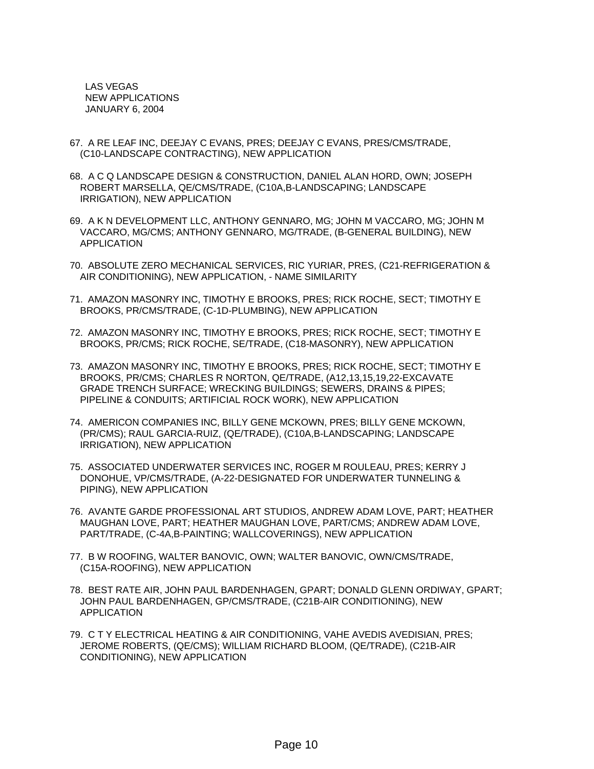LAS VEGAS NEW APPLICATIONS JANUARY 6, 2004

- 67. A RE LEAF INC, DEEJAY C EVANS, PRES; DEEJAY C EVANS, PRES/CMS/TRADE, (C10-LANDSCAPE CONTRACTING), NEW APPLICATION
- 68. A C Q LANDSCAPE DESIGN & CONSTRUCTION, DANIEL ALAN HORD, OWN; JOSEPH ROBERT MARSELLA, QE/CMS/TRADE, (C10A,B-LANDSCAPING; LANDSCAPE IRRIGATION), NEW APPLICATION
- 69. A K N DEVELOPMENT LLC, ANTHONY GENNARO, MG; JOHN M VACCARO, MG; JOHN M VACCARO, MG/CMS; ANTHONY GENNARO, MG/TRADE, (B-GENERAL BUILDING), NEW APPLICATION
- 70. ABSOLUTE ZERO MECHANICAL SERVICES, RIC YURIAR, PRES, (C21-REFRIGERATION & AIR CONDITIONING), NEW APPLICATION, - NAME SIMILARITY
- 71. AMAZON MASONRY INC, TIMOTHY E BROOKS, PRES; RICK ROCHE, SECT; TIMOTHY E BROOKS, PR/CMS/TRADE, (C-1D-PLUMBING), NEW APPLICATION
- 72. AMAZON MASONRY INC, TIMOTHY E BROOKS, PRES; RICK ROCHE, SECT; TIMOTHY E BROOKS, PR/CMS; RICK ROCHE, SE/TRADE, (C18-MASONRY), NEW APPLICATION
- 73. AMAZON MASONRY INC, TIMOTHY E BROOKS, PRES; RICK ROCHE, SECT; TIMOTHY E BROOKS, PR/CMS; CHARLES R NORTON, QE/TRADE, (A12,13,15,19,22-EXCAVATE GRADE TRENCH SURFACE; WRECKING BUILDINGS; SEWERS, DRAINS & PIPES; PIPELINE & CONDUITS; ARTIFICIAL ROCK WORK), NEW APPLICATION
- 74. AMERICON COMPANIES INC, BILLY GENE MCKOWN, PRES; BILLY GENE MCKOWN, (PR/CMS); RAUL GARCIA-RUIZ, (QE/TRADE), (C10A,B-LANDSCAPING; LANDSCAPE IRRIGATION), NEW APPLICATION
- 75. ASSOCIATED UNDERWATER SERVICES INC, ROGER M ROULEAU, PRES; KERRY J DONOHUE, VP/CMS/TRADE, (A-22-DESIGNATED FOR UNDERWATER TUNNELING & PIPING), NEW APPLICATION
- 76. AVANTE GARDE PROFESSIONAL ART STUDIOS, ANDREW ADAM LOVE, PART; HEATHER MAUGHAN LOVE, PART; HEATHER MAUGHAN LOVE, PART/CMS; ANDREW ADAM LOVE, PART/TRADE, (C-4A,B-PAINTING; WALLCOVERINGS), NEW APPLICATION
- 77. B W ROOFING, WALTER BANOVIC, OWN; WALTER BANOVIC, OWN/CMS/TRADE, (C15A-ROOFING), NEW APPLICATION
- 78. BEST RATE AIR, JOHN PAUL BARDENHAGEN, GPART; DONALD GLENN ORDIWAY, GPART; JOHN PAUL BARDENHAGEN, GP/CMS/TRADE, (C21B-AIR CONDITIONING), NEW APPLICATION
- 79. C T Y ELECTRICAL HEATING & AIR CONDITIONING, VAHE AVEDIS AVEDISIAN, PRES; JEROME ROBERTS, (QE/CMS); WILLIAM RICHARD BLOOM, (QE/TRADE), (C21B-AIR CONDITIONING), NEW APPLICATION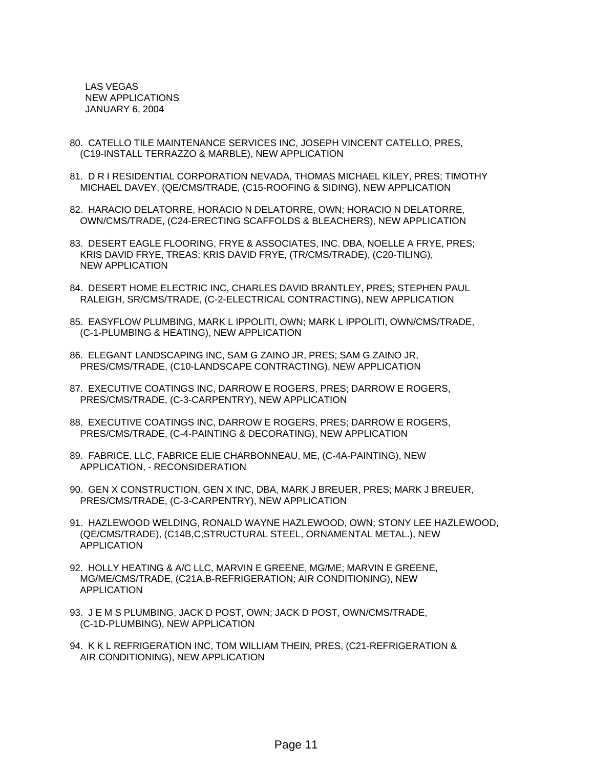LAS VEGAS NEW APPLICATIONS JANUARY 6, 2004

- 80. CATELLO TILE MAINTENANCE SERVICES INC, JOSEPH VINCENT CATELLO, PRES, (C19-INSTALL TERRAZZO & MARBLE), NEW APPLICATION
- 81. D R I RESIDENTIAL CORPORATION NEVADA, THOMAS MICHAEL KILEY, PRES; TIMOTHY MICHAEL DAVEY, (QE/CMS/TRADE, (C15-ROOFING & SIDING), NEW APPLICATION
- 82. HARACIO DELATORRE, HORACIO N DELATORRE, OWN; HORACIO N DELATORRE, OWN/CMS/TRADE, (C24-ERECTING SCAFFOLDS & BLEACHERS), NEW APPLICATION
- 83. DESERT EAGLE FLOORING, FRYE & ASSOCIATES, INC. DBA, NOELLE A FRYE, PRES; KRIS DAVID FRYE, TREAS; KRIS DAVID FRYE, (TR/CMS/TRADE), (C20-TILING), NEW APPLICATION
- 84. DESERT HOME ELECTRIC INC, CHARLES DAVID BRANTLEY, PRES; STEPHEN PAUL RALEIGH, SR/CMS/TRADE, (C-2-ELECTRICAL CONTRACTING), NEW APPLICATION
- 85. EASYFLOW PLUMBING, MARK L IPPOLITI, OWN; MARK L IPPOLITI, OWN/CMS/TRADE, (C-1-PLUMBING & HEATING), NEW APPLICATION
- 86. ELEGANT LANDSCAPING INC, SAM G ZAINO JR, PRES; SAM G ZAINO JR, PRES/CMS/TRADE, (C10-LANDSCAPE CONTRACTING), NEW APPLICATION
- 87. EXECUTIVE COATINGS INC, DARROW E ROGERS, PRES; DARROW E ROGERS, PRES/CMS/TRADE, (C-3-CARPENTRY), NEW APPLICATION
- 88. EXECUTIVE COATINGS INC, DARROW E ROGERS, PRES; DARROW E ROGERS, PRES/CMS/TRADE, (C-4-PAINTING & DECORATING), NEW APPLICATION
- 89. FABRICE, LLC, FABRICE ELIE CHARBONNEAU, ME, (C-4A-PAINTING), NEW APPLICATION, - RECONSIDERATION
- 90. GEN X CONSTRUCTION, GEN X INC, DBA, MARK J BREUER, PRES; MARK J BREUER, PRES/CMS/TRADE, (C-3-CARPENTRY), NEW APPLICATION
- 91. HAZLEWOOD WELDING, RONALD WAYNE HAZLEWOOD, OWN; STONY LEE HAZLEWOOD, (QE/CMS/TRADE), (C14B,C;STRUCTURAL STEEL, ORNAMENTAL METAL.), NEW APPLICATION
- 92. HOLLY HEATING & A/C LLC, MARVIN E GREENE, MG/ME; MARVIN E GREENE, MG/ME/CMS/TRADE, (C21A,B-REFRIGERATION; AIR CONDITIONING), NEW APPLICATION
- 93. J E M S PLUMBING, JACK D POST, OWN; JACK D POST, OWN/CMS/TRADE, (C-1D-PLUMBING), NEW APPLICATION
- 94. K K L REFRIGERATION INC, TOM WILLIAM THEIN, PRES, (C21-REFRIGERATION & AIR CONDITIONING), NEW APPLICATION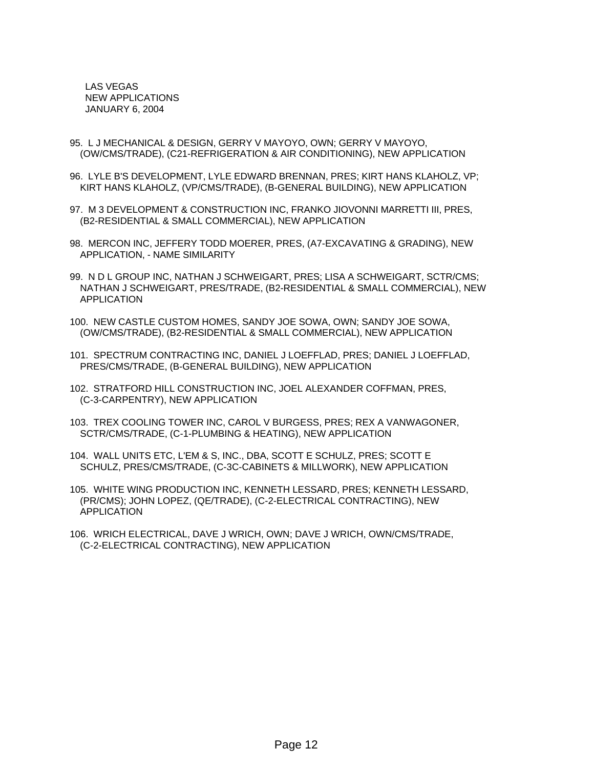LAS VEGAS NEW APPLICATIONS JANUARY 6, 2004

- 95. L J MECHANICAL & DESIGN, GERRY V MAYOYO, OWN; GERRY V MAYOYO, (OW/CMS/TRADE), (C21-REFRIGERATION & AIR CONDITIONING), NEW APPLICATION
- 96. LYLE B'S DEVELOPMENT, LYLE EDWARD BRENNAN, PRES; KIRT HANS KLAHOLZ, VP; KIRT HANS KLAHOLZ, (VP/CMS/TRADE), (B-GENERAL BUILDING), NEW APPLICATION
- 97. M 3 DEVELOPMENT & CONSTRUCTION INC, FRANKO JIOVONNI MARRETTI III, PRES, (B2-RESIDENTIAL & SMALL COMMERCIAL), NEW APPLICATION
- 98. MERCON INC, JEFFERY TODD MOERER, PRES, (A7-EXCAVATING & GRADING), NEW APPLICATION, - NAME SIMILARITY
- 99. N D L GROUP INC, NATHAN J SCHWEIGART, PRES; LISA A SCHWEIGART, SCTR/CMS; NATHAN J SCHWEIGART, PRES/TRADE, (B2-RESIDENTIAL & SMALL COMMERCIAL), NEW APPLICATION
- 100. NEW CASTLE CUSTOM HOMES, SANDY JOE SOWA, OWN; SANDY JOE SOWA, (OW/CMS/TRADE), (B2-RESIDENTIAL & SMALL COMMERCIAL), NEW APPLICATION
- 101. SPECTRUM CONTRACTING INC, DANIEL J LOEFFLAD, PRES; DANIEL J LOEFFLAD, PRES/CMS/TRADE, (B-GENERAL BUILDING), NEW APPLICATION
- 102. STRATFORD HILL CONSTRUCTION INC, JOEL ALEXANDER COFFMAN, PRES, (C-3-CARPENTRY), NEW APPLICATION
- 103. TREX COOLING TOWER INC, CAROL V BURGESS, PRES; REX A VANWAGONER, SCTR/CMS/TRADE, (C-1-PLUMBING & HEATING), NEW APPLICATION
- 104. WALL UNITS ETC, L'EM & S, INC., DBA, SCOTT E SCHULZ, PRES; SCOTT E SCHULZ, PRES/CMS/TRADE, (C-3C-CABINETS & MILLWORK), NEW APPLICATION
- 105. WHITE WING PRODUCTION INC, KENNETH LESSARD, PRES; KENNETH LESSARD, (PR/CMS); JOHN LOPEZ, (QE/TRADE), (C-2-ELECTRICAL CONTRACTING), NEW APPLICATION
- 106. WRICH ELECTRICAL, DAVE J WRICH, OWN; DAVE J WRICH, OWN/CMS/TRADE, (C-2-ELECTRICAL CONTRACTING), NEW APPLICATION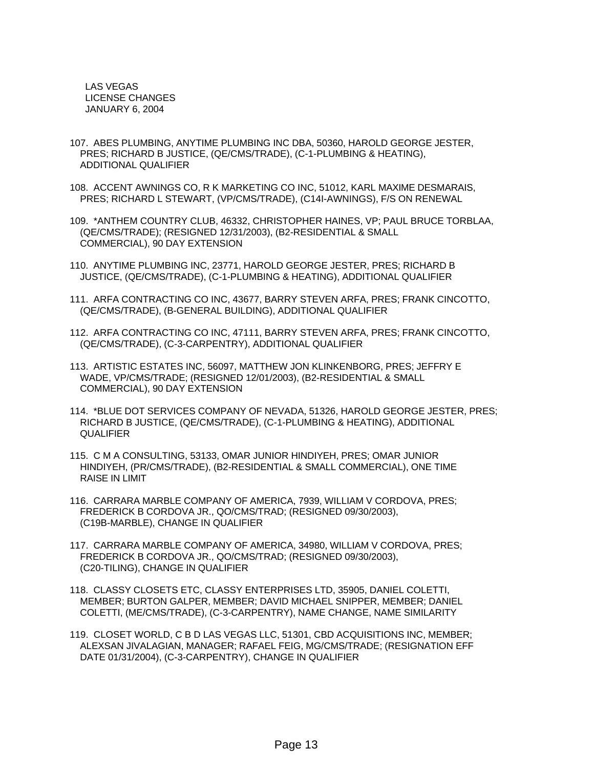LAS VEGAS LICENSE CHANGES JANUARY 6, 2004

- 107. ABES PLUMBING, ANYTIME PLUMBING INC DBA, 50360, HAROLD GEORGE JESTER, PRES; RICHARD B JUSTICE, (QE/CMS/TRADE), (C-1-PLUMBING & HEATING), ADDITIONAL QUALIFIER
- 108. ACCENT AWNINGS CO, R K MARKETING CO INC, 51012, KARL MAXIME DESMARAIS, PRES; RICHARD L STEWART, (VP/CMS/TRADE), (C14I-AWNINGS), F/S ON RENEWAL
- 109. \*ANTHEM COUNTRY CLUB, 46332, CHRISTOPHER HAINES, VP; PAUL BRUCE TORBLAA, (QE/CMS/TRADE); (RESIGNED 12/31/2003), (B2-RESIDENTIAL & SMALL COMMERCIAL), 90 DAY EXTENSION
- 110. ANYTIME PLUMBING INC, 23771, HAROLD GEORGE JESTER, PRES; RICHARD B JUSTICE, (QE/CMS/TRADE), (C-1-PLUMBING & HEATING), ADDITIONAL QUALIFIER
- 111. ARFA CONTRACTING CO INC, 43677, BARRY STEVEN ARFA, PRES; FRANK CINCOTTO, (QE/CMS/TRADE), (B-GENERAL BUILDING), ADDITIONAL QUALIFIER
- 112. ARFA CONTRACTING CO INC, 47111, BARRY STEVEN ARFA, PRES; FRANK CINCOTTO, (QE/CMS/TRADE), (C-3-CARPENTRY), ADDITIONAL QUALIFIER
- 113. ARTISTIC ESTATES INC, 56097, MATTHEW JON KLINKENBORG, PRES; JEFFRY E WADE, VP/CMS/TRADE; (RESIGNED 12/01/2003), (B2-RESIDENTIAL & SMALL COMMERCIAL), 90 DAY EXTENSION
- 114. \*BLUE DOT SERVICES COMPANY OF NEVADA, 51326, HAROLD GEORGE JESTER, PRES; RICHARD B JUSTICE, (QE/CMS/TRADE), (C-1-PLUMBING & HEATING), ADDITIONAL **QUALIFIER**
- 115. C M A CONSULTING, 53133, OMAR JUNIOR HINDIYEH, PRES; OMAR JUNIOR HINDIYEH, (PR/CMS/TRADE), (B2-RESIDENTIAL & SMALL COMMERCIAL), ONE TIME RAISE IN LIMIT
- 116. CARRARA MARBLE COMPANY OF AMERICA, 7939, WILLIAM V CORDOVA, PRES; FREDERICK B CORDOVA JR., QO/CMS/TRAD; (RESIGNED 09/30/2003), (C19B-MARBLE), CHANGE IN QUALIFIER
- 117. CARRARA MARBLE COMPANY OF AMERICA, 34980, WILLIAM V CORDOVA, PRES; FREDERICK B CORDOVA JR., QO/CMS/TRAD; (RESIGNED 09/30/2003), (C20-TILING), CHANGE IN QUALIFIER
- 118. CLASSY CLOSETS ETC, CLASSY ENTERPRISES LTD, 35905, DANIEL COLETTI, MEMBER; BURTON GALPER, MEMBER; DAVID MICHAEL SNIPPER, MEMBER; DANIEL COLETTI, (ME/CMS/TRADE), (C-3-CARPENTRY), NAME CHANGE, NAME SIMILARITY
- 119. CLOSET WORLD, C B D LAS VEGAS LLC, 51301, CBD ACQUISITIONS INC, MEMBER; ALEXSAN JIVALAGIAN, MANAGER; RAFAEL FEIG, MG/CMS/TRADE; (RESIGNATION EFF DATE 01/31/2004), (C-3-CARPENTRY), CHANGE IN QUALIFIER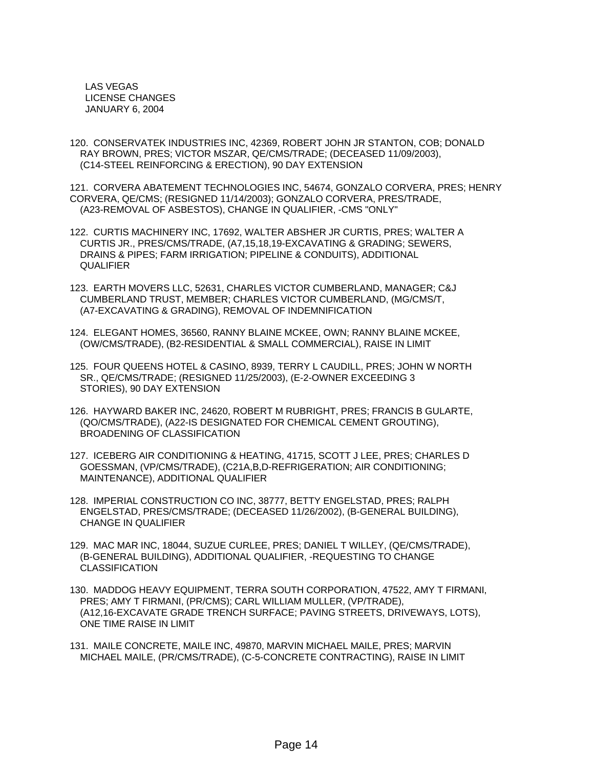LAS VEGAS LICENSE CHANGES JANUARY 6, 2004

120. CONSERVATEK INDUSTRIES INC, 42369, ROBERT JOHN JR STANTON, COB; DONALD RAY BROWN, PRES; VICTOR MSZAR, QE/CMS/TRADE; (DECEASED 11/09/2003), (C14-STEEL REINFORCING & ERECTION), 90 DAY EXTENSION

121. CORVERA ABATEMENT TECHNOLOGIES INC, 54674, GONZALO CORVERA, PRES; HENRY CORVERA, QE/CMS; (RESIGNED 11/14/2003); GONZALO CORVERA, PRES/TRADE, (A23-REMOVAL OF ASBESTOS), CHANGE IN QUALIFIER, -CMS "ONLY"

122. CURTIS MACHINERY INC, 17692, WALTER ABSHER JR CURTIS, PRES; WALTER A CURTIS JR., PRES/CMS/TRADE, (A7,15,18,19-EXCAVATING & GRADING; SEWERS, DRAINS & PIPES; FARM IRRIGATION; PIPELINE & CONDUITS), ADDITIONAL QUALIFIER

123. EARTH MOVERS LLC, 52631, CHARLES VICTOR CUMBERLAND, MANAGER; C&J CUMBERLAND TRUST, MEMBER; CHARLES VICTOR CUMBERLAND, (MG/CMS/T, (A7-EXCAVATING & GRADING), REMOVAL OF INDEMNIFICATION

124. ELEGANT HOMES, 36560, RANNY BLAINE MCKEE, OWN; RANNY BLAINE MCKEE, (OW/CMS/TRADE), (B2-RESIDENTIAL & SMALL COMMERCIAL), RAISE IN LIMIT

125. FOUR QUEENS HOTEL & CASINO, 8939, TERRY L CAUDILL, PRES; JOHN W NORTH SR., QE/CMS/TRADE; (RESIGNED 11/25/2003), (E-2-OWNER EXCEEDING 3 STORIES), 90 DAY EXTENSION

- 126. HAYWARD BAKER INC, 24620, ROBERT M RUBRIGHT, PRES; FRANCIS B GULARTE, (QO/CMS/TRADE), (A22-IS DESIGNATED FOR CHEMICAL CEMENT GROUTING), BROADENING OF CLASSIFICATION
- 127. ICEBERG AIR CONDITIONING & HEATING, 41715, SCOTT J LEE, PRES; CHARLES D GOESSMAN, (VP/CMS/TRADE), (C21A,B,D-REFRIGERATION; AIR CONDITIONING; MAINTENANCE), ADDITIONAL QUALIFIER
- 128. IMPERIAL CONSTRUCTION CO INC, 38777, BETTY ENGELSTAD, PRES; RALPH ENGELSTAD, PRES/CMS/TRADE; (DECEASED 11/26/2002), (B-GENERAL BUILDING), CHANGE IN QUALIFIER
- 129. MAC MAR INC, 18044, SUZUE CURLEE, PRES; DANIEL T WILLEY, (QE/CMS/TRADE), (B-GENERAL BUILDING), ADDITIONAL QUALIFIER, -REQUESTING TO CHANGE **CLASSIFICATION**
- 130. MADDOG HEAVY EQUIPMENT, TERRA SOUTH CORPORATION, 47522, AMY T FIRMANI, PRES; AMY T FIRMANI, (PR/CMS); CARL WILLIAM MULLER, (VP/TRADE), (A12,16-EXCAVATE GRADE TRENCH SURFACE; PAVING STREETS, DRIVEWAYS, LOTS), ONE TIME RAISE IN LIMIT
- 131. MAILE CONCRETE, MAILE INC, 49870, MARVIN MICHAEL MAILE, PRES; MARVIN MICHAEL MAILE, (PR/CMS/TRADE), (C-5-CONCRETE CONTRACTING), RAISE IN LIMIT